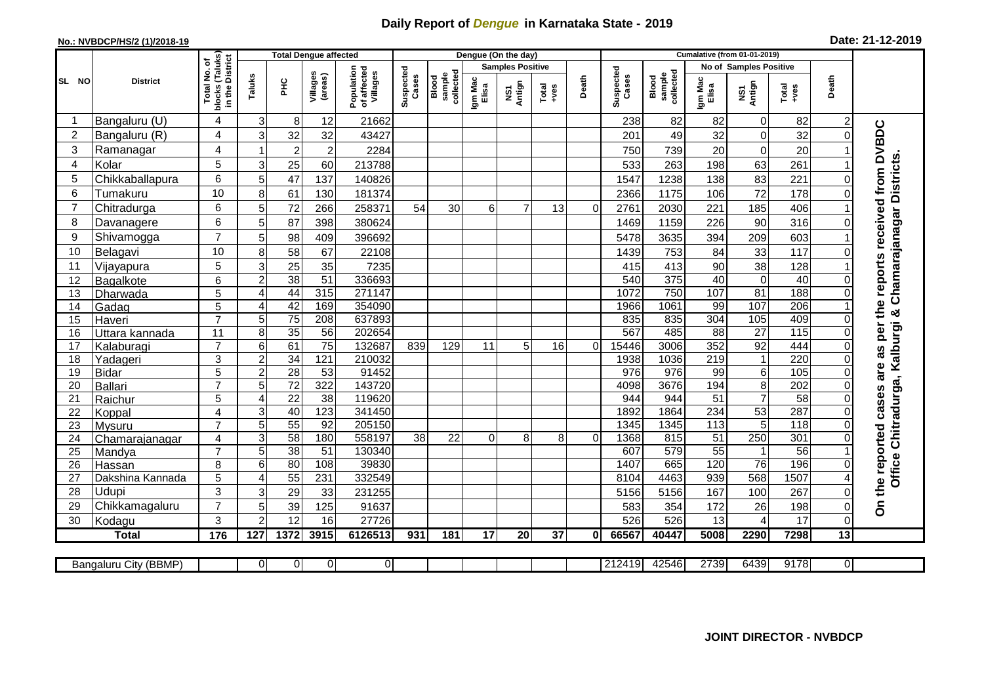## **Daily Report of** *Dengue* **in Karnataka State - 2019**

## **No.: NVBDCP/HS/2 (1)/2018-19**

| Date: 21-12-2019 |  |  |  |  |
|------------------|--|--|--|--|
|------------------|--|--|--|--|

|                |                            |                                | <b>Total Dengue affected</b> |                                    |                     |                                       | Dengue (On the day) |                             |                  |               |               |              |                    | <b>Cumalative (from 01-01-2019)</b> |                        |                                    |                  |              |                                        |                               |  |  |  |
|----------------|----------------------------|--------------------------------|------------------------------|------------------------------------|---------------------|---------------------------------------|---------------------|-----------------------------|------------------|---------------|---------------|--------------|--------------------|-------------------------------------|------------------------|------------------------------------|------------------|--------------|----------------------------------------|-------------------------------|--|--|--|
|                |                            | (Taluks)<br>District<br>p      |                              |                                    |                     |                                       |                     |                             |                  |               |               |              |                    | <b>Samples Positive</b>             |                        |                                    |                  |              |                                        | <b>No of Samples Positive</b> |  |  |  |
| SL NO          | <b>District</b>            | ş<br>Total<br>blocks<br>in the | Taluks                       | <b>PHC</b>                         | Villages<br>(areas) | Population<br>of affected<br>Villages | Suspected<br>Cases  | sample<br>collecte<br>Blood | Igm Mac<br>Elisa | NS1<br>Antign | Total<br>+ves | Death        | Suspected<br>Cases | collected<br>sample<br>Blood        | Igm Mac<br>Elisa       | NS1<br>Antign                      | Total<br>$+ves$  | Death        |                                        |                               |  |  |  |
|                | Bangaluru (U)              | 4                              | 3                            | 8                                  | 12                  | 21662                                 |                     |                             |                  |               |               |              | 238                | 82                                  | 82                     | $\mathbf 0$                        | 82               |              |                                        |                               |  |  |  |
| $\overline{c}$ | Bangaluru (R)              | 4                              | 3                            | 32                                 | 32                  | 43427                                 |                     |                             |                  |               |               |              | 201                | 49                                  | 32                     | $\mathsf 0$                        | 32               | $\Omega$     |                                        |                               |  |  |  |
| 3              | Ramanagar                  | $\overline{4}$                 |                              | $\overline{2}$                     | $\overline{2}$      | 2284                                  |                     |                             |                  |               |               |              | 750                | 739                                 | 20                     | $\boldsymbol{0}$                   | 20               |              | as per the reports received from DVBDC |                               |  |  |  |
| 4              | Kolar                      | 5                              | 3                            | 25                                 | 60                  | 213788                                |                     |                             |                  |               |               |              | 533                | 263                                 | 198                    | 63                                 | 261              |              |                                        |                               |  |  |  |
| 5              | Chikkaballapura            | 6                              | 5                            | 47                                 | 137                 | 140826                                |                     |                             |                  |               |               |              | 1547               | 1238                                | 138                    | 83                                 | 221              |              |                                        |                               |  |  |  |
| 6              | Tumakuru                   | 10                             | 8                            | 61                                 | 130                 | 181374                                |                     |                             |                  |               |               |              | 2366               | 1175                                | 106                    | $\overline{72}$                    | 178              |              | Chamarajanagar Districts               |                               |  |  |  |
| 7              | Chitradurga                | 6                              | 5                            | 72                                 | 266                 | 258371                                | 54                  | 30                          | $6 \mid$         | 7             | 13            | $\Omega$     | 2761               | 2030                                | 221                    | 185                                | 406              |              |                                        |                               |  |  |  |
| 8              | Davanagere                 | 6                              | 5                            | 87                                 | 398                 | 380624                                |                     |                             |                  |               |               |              | 1469               | 1159                                | 226                    | 90                                 | 316              | $\Omega$     |                                        |                               |  |  |  |
| 9              | Shivamogga                 | $\overline{7}$                 | 5                            | 98                                 | 409                 | 396692                                |                     |                             |                  |               |               |              | 5478               | 3635                                | 394                    | 209                                | 603              |              |                                        |                               |  |  |  |
| 10             | Belagavi                   | 10                             | 8                            | 58                                 | 67                  | 22108                                 |                     |                             |                  |               |               |              | 1439               | 753                                 | 84                     | 33                                 | 117              |              |                                        |                               |  |  |  |
| 11             | Vijayapura                 | 5                              | 3                            | 25                                 | 35                  | 7235                                  |                     |                             |                  |               |               |              | 415                | 413                                 | 90                     | 38                                 | 128              |              |                                        |                               |  |  |  |
| 12             | Bagalkote                  | 6                              | $\overline{c}$               | 38                                 | $\overline{51}$     | 336693                                |                     |                             |                  |               |               |              | 540                | $\overline{375}$                    | 40                     | $\overline{0}$                     | 40               |              |                                        |                               |  |  |  |
| 13             | Dharwada                   | 5                              | $\overline{4}$               | 44                                 | 315                 | 271147                                |                     |                             |                  |               |               |              | 1072               | 750                                 | 107                    | 81                                 | 188              | $\Omega$     |                                        |                               |  |  |  |
| 14             | Gadag                      | 5                              | $\overline{4}$               | 42                                 | 169                 | 354090                                |                     |                             |                  |               |               |              | 1966               | 1061                                | 99                     | 107                                | $\overline{206}$ |              |                                        |                               |  |  |  |
| 15             | Haveri                     | $\overline{7}$                 | 5                            | 75                                 | $\overline{208}$    | 637893                                |                     |                             |                  |               |               |              | 835                | 835                                 | $\overline{304}$       | $\frac{105}{105}$                  | 409              | $\Omega$     |                                        |                               |  |  |  |
| 16             | Uttara kannada             | 11                             | 8                            | 35                                 | $\overline{56}$     | 202654                                |                     |                             |                  |               |               |              | 567                | 485                                 | $\overline{88}$        | $\overline{27}$                    | 115              |              |                                        |                               |  |  |  |
| 17             | Kalaburagi                 | $\overline{7}$                 | $6\phantom{1}6$              | 61                                 | $\overline{75}$     | 132687                                | 839                 | 129                         | 11               | 5             | 16            | $\Omega$     | 15446              | 3006                                | 352                    | 92                                 | 444              | $\Omega$     |                                        |                               |  |  |  |
| 18             | Yadageri                   | 3                              | $\overline{2}$               | 34                                 | 121                 | 210032                                |                     |                             |                  |               |               |              | 1938               | 1036                                | 219                    | $\mathbf{1}$                       | 220              |              |                                        |                               |  |  |  |
| 19             | <b>Bidar</b>               | $\overline{5}$                 | $\overline{2}$               | 28                                 | 53                  | 91452                                 |                     |                             |                  |               |               |              | 976                | 976                                 | 99                     | $\overline{6}$                     | 105              |              | are                                    |                               |  |  |  |
| 20             | Ballari                    | $\overline{7}$                 | 5                            | $\overline{72}$                    | 322                 | 143720                                |                     |                             |                  |               |               |              | 4098               | 3676                                | 194                    | $\overline{8}$                     | 202              |              |                                        |                               |  |  |  |
| 21             | Raichur                    | 5                              | $\overline{4}$               | $\overline{22}$                    | $\overline{38}$     | 119620                                |                     |                             |                  |               |               |              | 944                | 944                                 | 51                     | $\overline{7}$                     | 58               |              |                                        |                               |  |  |  |
| 22             | Koppal                     | $\overline{\mathbf{4}}$        | 3                            | 40                                 | 123                 | 341450                                |                     |                             |                  |               |               |              | 1892               | 1864                                | 234                    | 53                                 | 287              | $\Omega$     |                                        |                               |  |  |  |
| 23             | Mysuru                     | $\overline{7}$                 | 5                            | 55                                 | 92                  | 205150                                |                     |                             |                  |               |               |              | 1345               | 1345                                | 113                    | 5                                  | $\overline{118}$ |              | Office Chitradurga, Kalburgi &         |                               |  |  |  |
| 24             | Chamarajanagar             | 4<br>$\overline{7}$            | 3                            | 58                                 | 180                 | 558197                                | 38                  | 22                          | $\Omega$         | 8             | 8             | $\Omega$     | 1368               | 815<br>579                          | 51                     | $\overline{250}$<br>$\overline{1}$ | 301<br>56        |              |                                        |                               |  |  |  |
| 25             | Mandya                     | 8                              | 5<br>6                       | $\overline{38}$<br>$\overline{80}$ | 51<br>108           | 130340<br>39830                       |                     |                             |                  |               |               |              | 607<br>1407        | 665                                 | $\overline{55}$<br>120 | $\overline{76}$                    | 196              |              |                                        |                               |  |  |  |
| 26<br>27       | Hassan<br>Dakshina Kannada | 5                              | $\overline{4}$               | 55                                 | 231                 | 332549                                |                     |                             |                  |               |               |              | 8104               | 4463                                | 939                    | 568                                | 1507             |              |                                        |                               |  |  |  |
| 28             | Udupi                      | 3                              | $\sqrt{3}$                   | 29                                 | 33                  | 231255                                |                     |                             |                  |               |               |              | 5156               | 5156                                | 167                    | 100                                | 267              | $\Omega$     |                                        |                               |  |  |  |
| 29             | Chikkamagaluru             | $\overline{7}$                 | 5                            | 39                                 | 125                 | 91637                                 |                     |                             |                  |               |               |              | 583                | 354                                 | 172                    | 26                                 | 198              | 0            | On the reported cases                  |                               |  |  |  |
| 30             | Kodagu                     | 3                              | $\overline{2}$               | 12                                 | 16                  | 27726                                 |                     |                             |                  |               |               |              | 526                | 526                                 | 13                     | $\overline{4}$                     | 17               | $\mathbf 0$  |                                        |                               |  |  |  |
|                | <b>Total</b>               | 176                            | 127                          | 1372                               | 3915                | 6126513                               | 931                 | 181                         | 17               | 20            | 37            | $\mathbf{0}$ | 66567              | 40447                               | 5008                   | 2290                               | 7298             | 13           |                                        |                               |  |  |  |
|                |                            |                                |                              |                                    |                     |                                       |                     |                             |                  |               |               |              |                    |                                     |                        |                                    |                  |              |                                        |                               |  |  |  |
|                | Bangaluru City (BBMP)      |                                | 0                            | $\overline{0}$                     | 0                   | $\overline{0}$                        |                     |                             |                  |               |               |              | 212419             | 42546                               | 2739                   | 6439                               | 9178             | $\mathbf{0}$ |                                        |                               |  |  |  |